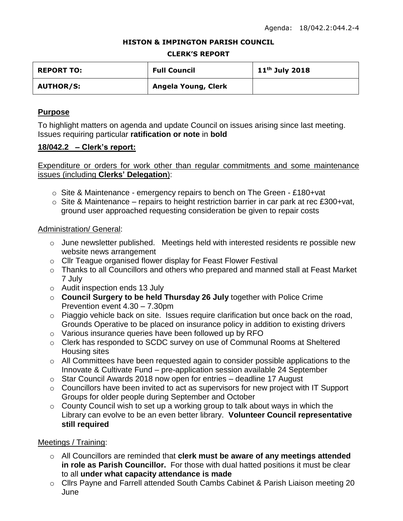### **HISTON & IMPINGTON PARISH COUNCIL**

#### **CLERK'S REPORT**

| <b>REPORT TO:</b> | <b>Full Council</b> | $11th$ July 2018 |
|-------------------|---------------------|------------------|
| <b>AUTHOR/S:</b>  | Angela Young, Clerk |                  |

## **Purpose**

To highlight matters on agenda and update Council on issues arising since last meeting. Issues requiring particular **ratification or note** in **bold**

### **18/042.2 – Clerk's report:**

Expenditure or orders for work other than regular commitments and some maintenance issues (including **Clerks' Delegation**):

- $\circ$  Site & Maintenance emergency repairs to bench on The Green £180+vat
- $\circ$  Site & Maintenance repairs to height restriction barrier in car park at rec £300+vat, ground user approached requesting consideration be given to repair costs

### Administration/ General:

- o June newsletter published. Meetings held with interested residents re possible new website news arrangement
- o Cllr Teague organised flower display for Feast Flower Festival
- o Thanks to all Councillors and others who prepared and manned stall at Feast Market 7 July
- o Audit inspection ends 13 July
- o **Council Surgery to be held Thursday 26 July** together with Police Crime Prevention event 4.30 – 7.30pm
- o Piaggio vehicle back on site. Issues require clarification but once back on the road, Grounds Operative to be placed on insurance policy in addition to existing drivers
- o Various insurance queries have been followed up by RFO
- o Clerk has responded to SCDC survey on use of Communal Rooms at Sheltered Housing sites
- o All Committees have been requested again to consider possible applications to the Innovate & Cultivate Fund – pre-application session available 24 September
- o Star Council Awards 2018 now open for entries deadline 17 August
- o Councillors have been invited to act as supervisors for new project with IT Support Groups for older people during September and October
- $\circ$  County Council wish to set up a working group to talk about ways in which the Library can evolve to be an even better library. **Volunteer Council representative still required**

## Meetings / Training:

- o All Councillors are reminded that **clerk must be aware of any meetings attended in role as Parish Councillor.** For those with dual hatted positions it must be clear to all **under what capacity attendance is made**
- o Cllrs Payne and Farrell attended South Cambs Cabinet & Parish Liaison meeting 20 June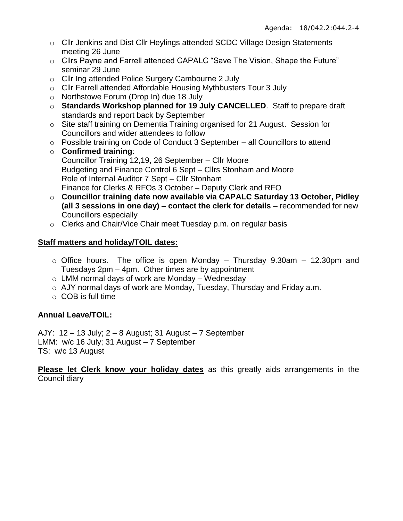- o Cllr Jenkins and Dist Cllr Heylings attended SCDC Village Design Statements meeting 26 June
- o Cllrs Payne and Farrell attended CAPALC "Save The Vision, Shape the Future" seminar 29 June
- o Cllr Ing attended Police Surgery Cambourne 2 July
- o Cllr Farrell attended Affordable Housing Mythbusters Tour 3 July
- o Northstowe Forum (Drop In) due 18 July
- o **Standards Workshop planned for 19 July CANCELLED**. Staff to prepare draft standards and report back by September
- o Site staff training on Dementia Training organised for 21 August. Session for Councillors and wider attendees to follow
- o Possible training on Code of Conduct 3 September all Councillors to attend
- o **Confirmed training**: Councillor Training 12,19, 26 September – Cllr Moore Budgeting and Finance Control 6 Sept – Cllrs Stonham and Moore Role of Internal Auditor 7 Sept – Cllr Stonham Finance for Clerks & RFOs 3 October – Deputy Clerk and RFO
- o **Councillor training date now available via CAPALC Saturday 13 October, Pidley (all 3 sessions in one day) – contact the clerk for details** – recommended for new Councillors especially
- o Clerks and Chair/Vice Chair meet Tuesday p.m. on regular basis

# **Staff matters and holiday/TOIL dates:**

- $\circ$  Office hours. The office is open Monday Thursday 9.30am 12.30pm and Tuesdays 2pm – 4pm. Other times are by appointment
- $\circ$  LMM normal days of work are Monday Wednesday
- o AJY normal days of work are Monday, Tuesday, Thursday and Friday a.m.
- o COB is full time

# **Annual Leave/TOIL:**

AJY: 12 – 13 July; 2 – 8 August; 31 August – 7 September LMM: w/c 16 July; 31 August – 7 September TS: w/c 13 August

**Please let Clerk know your holiday dates** as this greatly aids arrangements in the Council diary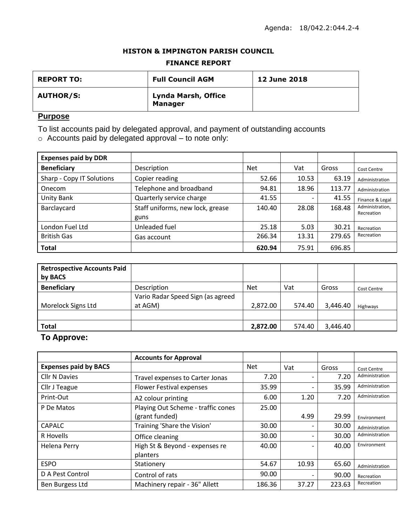### **HISTON & IMPINGTON PARISH COUNCIL**

### **FINANCE REPORT**

| <b>REPORT TO:</b> | <b>Full Council AGM</b>               | <b>12 June 2018</b> |
|-------------------|---------------------------------------|---------------------|
| <b>AUTHOR/S:</b>  | Lynda Marsh, Office<br><b>Manager</b> |                     |

## **Purpose**

To list accounts paid by delegated approval, and payment of outstanding accounts

o Accounts paid by delegated approval – to note only:

| <b>Expenses paid by DDR</b> |                                  |            |                          |        |                               |
|-----------------------------|----------------------------------|------------|--------------------------|--------|-------------------------------|
| <b>Beneficiary</b>          | Description                      | <b>Net</b> | Vat                      | Gross  | <b>Cost Centre</b>            |
| Sharp - Copy IT Solutions   | Copier reading                   | 52.66      | 10.53                    | 63.19  | Administration                |
| Onecom                      | Telephone and broadband          | 94.81      | 18.96                    | 113.77 | Administration                |
| Unity Bank                  | Quarterly service charge         | 41.55      | $\overline{\phantom{0}}$ | 41.55  | Finance & Legal               |
| Barclaycard                 | Staff uniforms, new lock, grease | 140.40     | 28.08                    | 168.48 | Administration,<br>Recreation |
|                             | guns                             |            |                          |        |                               |
| London Fuel Ltd             | Unleaded fuel                    | 25.18      | 5.03                     | 30.21  | Recreation                    |
| <b>British Gas</b>          | Gas account                      | 266.34     | 13.31                    | 279.65 | Recreation                    |
| <b>Total</b>                |                                  | 620.94     | 75.91                    | 696.85 |                               |

| <b>Retrospective Accounts Paid</b><br>by BACS |                                              |            |        |          |             |
|-----------------------------------------------|----------------------------------------------|------------|--------|----------|-------------|
| <b>Beneficiary</b>                            | Description                                  | <b>Net</b> | Vat    | Gross    | Cost Centre |
| Morelock Signs Ltd                            | Vario Radar Speed Sign (as agreed<br>at AGM) | 2,872.00   | 574.40 | 3,446.40 | Highways    |
|                                               |                                              |            |        |          |             |
| <b>Total</b>                                  |                                              | 2,872.00   | 574.40 | 3,446.40 |             |

## **To Approve:**

|                              | <b>Accounts for Approval</b>       |            |                          |        |                |
|------------------------------|------------------------------------|------------|--------------------------|--------|----------------|
| <b>Expenses paid by BACS</b> |                                    | <b>Net</b> | Vat                      | Gross  | Cost Centre    |
| <b>Cllr N Davies</b>         | Travel expenses to Carter Jonas    | 7.20       | $\overline{\phantom{0}}$ | 7.20   | Administration |
| Cllr J Teague                | <b>Flower Festival expenses</b>    | 35.99      | -                        | 35.99  | Administration |
| Print-Out                    | A2 colour printing                 | 6.00       | 1.20                     | 7.20   | Administration |
| P De Matos                   | Playing Out Scheme - traffic cones | 25.00      |                          |        |                |
|                              | (grant funded)                     |            | 4.99                     | 29.99  | Environment    |
| <b>CAPALC</b>                | Training 'Share the Vision'        | 30.00      |                          | 30.00  | Administration |
| R Hovells                    | Office cleaning                    | 30.00      |                          | 30.00  | Administration |
| <b>Helena Perry</b>          | High St & Beyond - expenses re     | 40.00      |                          | 40.00  | Environment    |
|                              | planters                           |            |                          |        |                |
| <b>ESPO</b>                  | Stationery                         | 54.67      | 10.93                    | 65.60  | Administration |
| D A Pest Control             | Control of rats                    | 90.00      |                          | 90.00  | Recreation     |
| Ben Burgess Ltd              | Machinery repair - 36" Allett      | 186.36     | 37.27                    | 223.63 | Recreation     |